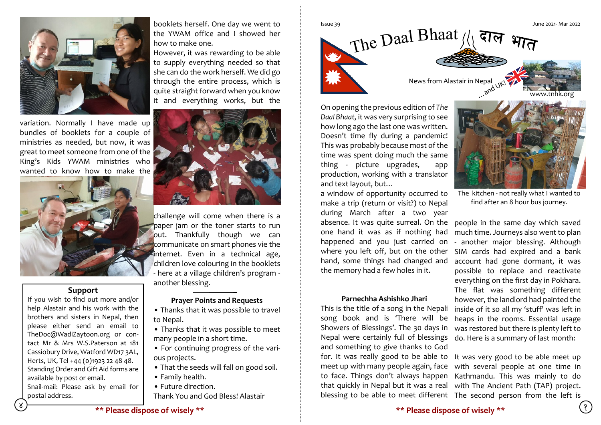

variation. Normally I have made up bundles of booklets for a couple of ministries as needed, but now, it was great to meet someone from one of the King's Kids YWAM ministries who wanted to know how to make the



## **Support**

If you wish to find out more and/or help Alastair and his work with the brothers and sisters in Nepal, then please either send an email to TheDoc@WadiZaytoon.org or contact Mr & Mrs W.S.Paterson at 181 Cassiobury Drive, Watford WD17 3AL, Herts, UK, Tel +44 (0)1923 22 48 48. Standing Order and Gift Aid forms are available by post or email. Snail-mail: Please ask by email for postal address.

booklets herself. One day we went to the YWAM office and I showed her how to make one.

However, it was rewarding to be able to supply everything needed so that she can do the work herself. We did go through the entire process, which is quite straight forward when you know it and everything works, but the



challenge will come when there is a paper jam or the toner starts to run out. Thankfully though we can communicate on smart phones vie the internet. Even in a technical age, children love colouring in the booklets - here at a village children's program another blessing.

## **Prayer Points and Requests**

• Thanks that it was possible to travel to Nepal.

• Thanks that it was possible to meet many people in a short time.

• For continuing progress of the various projects.

- That the seeds will fall on good soil.
- Family health.
- Future direction.
- Thank You and God Bless! Alastair



On opening the previous edition of *The Daal Bhaat,* it was very surprising to see how long ago the last one was written. Doesn't time fly during a pandemic! This was probably because most of the time was spent doing much the same thing - picture upgrades, app production, working with a translator and text layout, but…

a window of opportunity occurred to make a trip (return or visit?) to Nepal during March after a two year absence. It was quite surreal. On the one hand it was as if nothing had happened and you just carried on where you left off, but on the other the memory had a few holes in it.

## **Parnechha Ashishko Jhari**

This is the title of a song in the Nepali song book and is 'There will be Showers of Blessings'. The 30 days in Nepal were certainly full of blessings do. Here is a summary of last month: and something to give thanks to God for. It was really good to be able to It was very good to be able meet up



The kitchen - not really what I wanted to find after an 8 hour bus journey.

hand, some things had changed and account had gone dormant, it was people in the same day which saved much time. Journeys also went to plan - another major blessing. Although SIM cards had expired and a bank possible to replace and reactivate everything on the first day in Pokhara. The flat was something different however, the landlord had painted the inside of it so all my 'stuff' was left in heaps in the rooms. Essential usage was restored but there is plenty left to

meet up with many people again, face with several people at one time in to face. Things don't always happen Kathmandu. This was mainly to do that quickly in Nepal but it was a real with The Ancient Path (TAP) project. blessing to be able to meet different The second person from the left is

**\*\* Please dispose of wisely \*\* \*\* Please dispose of wisely \*\***